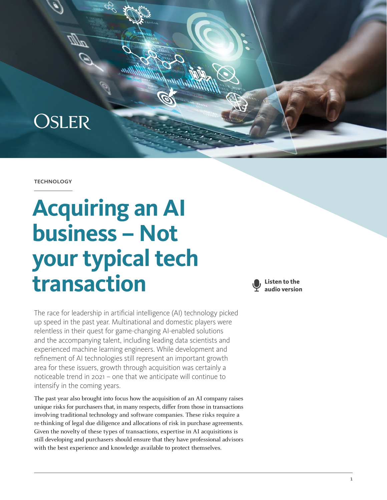

#### **TECHNOLOGY**

# **Acquiring an AI business – Not your typical tech transaction**

The race for leadership in artificial intelligence (AI) technology picked up speed in the past year. Multinational and domestic players were relentless in their quest for game-changing AI-enabled solutions and the accompanying talent, including leading data scientists and experienced machine learning engineers. While development and refinement of AI technologies still represent an important growth area for these issuers, growth through acquisition was certainly a noticeable trend in 2021 – one that we anticipate will continue to intensify in the coming years.

The past year also brought into focus how the acquisition of an AI company raises unique risks for purchasers that, in many respects, differ from those in transactions involving traditional technology and software companies. These risks require a re-thinking of legal due diligence and allocations of risk in purchase agreements. Given the novelty of these types of transactions, expertise in AI acquisitions is still developing and purchasers should ensure that they have professional advisors with the best experience and knowledge available to protect themselves.

**Listen to the audio version**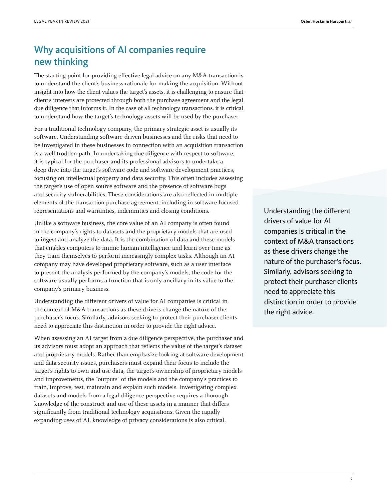## Why acquisitions of AI companies require new thinking

The starting point for providing effective legal advice on any M&A transaction is to understand the client's business rationale for making the acquisition. Without insight into how the client values the target's assets, it is challenging to ensure that client's interests are protected through both the purchase agreement and the legal due diligence that informs it. In the case of all technology transactions, it is critical to understand how the target's technology assets will be used by the purchaser.

For a traditional technology company, the primary strategic asset is usually its software. Understanding software-driven businesses and the risks that need to be investigated in these businesses in connection with an acquisition transaction is a well-trodden path. In undertaking due diligence with respect to software, it is typical for the purchaser and its professional advisors to undertake a deep dive into the target's software code and software development practices, focusing on intellectual property and data security. This often includes assessing the target's use of open source software and the presence of software bugs and security vulnerabilities. These considerations are also reflected in multiple elements of the transaction purchase agreement, including in software-focused representations and warranties, indemnities and closing conditions.

Unlike a software business, the core value of an AI company is often found in the company's rights to datasets and the proprietary models that are used to ingest and analyze the data. It is the combination of data and these models that enables computers to mimic human intelligence and learn over time as they train themselves to perform increasingly complex tasks. Although an AI company may have developed proprietary software, such as a user interface to present the analysis performed by the company's models, the code for the software usually performs a function that is only ancillary in its value to the company's primary business.

Understanding the different drivers of value for AI companies is critical in the context of M&A transactions as these drivers change the nature of the purchaser's focus. Similarly, advisors seeking to protect their purchaser clients need to appreciate this distinction in order to provide the right advice.

When assessing an AI target from a due diligence perspective, the purchaser and its advisors must adopt an approach that reflects the value of the target's dataset and proprietary models. Rather than emphasize looking at software development and data security issues, purchasers must expand their focus to include the target's rights to own and use data, the target's ownership of proprietary models and improvements, the "outputs" of the models and the company's practices to train, improve, test, maintain and explain such models. Investigating complex datasets and models from a legal diligence perspective requires a thorough knowledge of the construct and use of these assets in a manner that differs significantly from traditional technology acquisitions. Given the rapidly expanding uses of AI, knowledge of privacy considerations is also critical.

Understanding the different drivers of value for AI companies is critical in the context of M&A transactions as these drivers change the nature of the purchaser's focus. Similarly, advisors seeking to protect their purchaser clients need to appreciate this distinction in order to provide the right advice.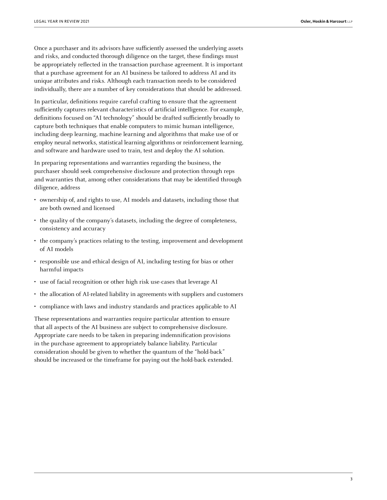Once a purchaser and its advisors have sufficiently assessed the underlying assets and risks, and conducted thorough diligence on the target, these findings must be appropriately reflected in the transaction purchase agreement. It is important that a purchase agreement for an AI business be tailored to address AI and its unique attributes and risks. Although each transaction needs to be considered individually, there are a number of key considerations that should be addressed.

In particular, definitions require careful crafting to ensure that the agreement sufficiently captures relevant characteristics of artificial intelligence. For example, definitions focused on "AI technology" should be drafted sufficiently broadly to capture both techniques that enable computers to mimic human intelligence, including deep learning, machine learning and algorithms that make use of or employ neural networks, statistical learning algorithms or reinforcement learning, and software and hardware used to train, test and deploy the AI solution.

In preparing representations and warranties regarding the business, the purchaser should seek comprehensive disclosure and protection through reps and warranties that, among other considerations that may be identified through diligence, address

- ownership of, and rights to use, AI models and datasets, including those that are both owned and licensed
- the quality of the company's datasets, including the degree of completeness, consistency and accuracy
- the company's practices relating to the testing, improvement and development of AI models
- responsible use and ethical design of AI, including testing for bias or other harmful impacts
- use of facial recognition or other high risk use-cases that leverage AI
- the allocation of AI-related liability in agreements with suppliers and customers
- compliance with laws and industry standards and practices applicable to AI

These representations and warranties require particular attention to ensure that all aspects of the AI business are subject to comprehensive disclosure. Appropriate care needs to be taken in preparing indemnification provisions in the purchase agreement to appropriately balance liability. Particular consideration should be given to whether the quantum of the "hold-back" should be increased or the timeframe for paying out the hold-back extended.